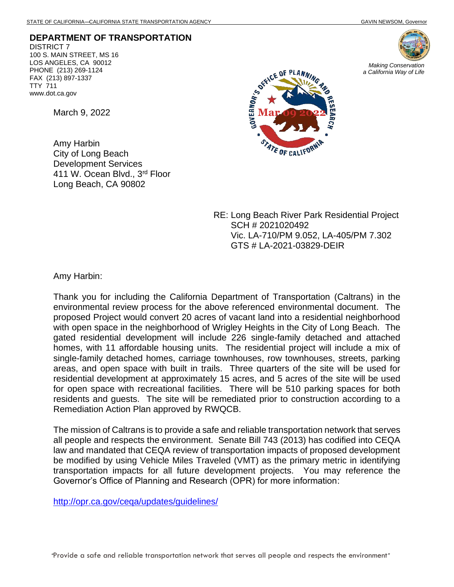**DEPARTMENT OF TRANSPORTATION** DISTRICT 7 100 S. MAIN STREET, MS 16 LOS ANGELES, CA 90012 PHONE (213) 269-1124 FAX (213) 897-1337 TTY 711 www.dot.ca.gov

March 9, 2022

Amy Harbin City of Long Beach Development Services 411 W. Ocean Blvd., 3rd Floor Long Beach, CA 90802



RE: Long Beach River Park Residential Project SCH # 2021020492 Vic. LA-710/PM 9.052, LA-405/PM 7.302 GTS # LA-2021-03829-DEIR

Amy Harbin:

Thank you for including the California Department of Transportation (Caltrans) in the environmental review process for the above referenced environmental document. The proposed Project would convert 20 acres of vacant land into a residential neighborhood with open space in the neighborhood of Wrigley Heights in the City of Long Beach. The gated residential development will include 226 single-family detached and attached homes, with 11 affordable housing units. The residential project will include a mix of single-family detached homes, carriage townhouses, row townhouses, streets, parking areas, and open space with built in trails. Three quarters of the site will be used for residential development at approximately 15 acres, and 5 acres of the site will be used for open space with recreational facilities. There will be 510 parking spaces for both residents and guests. The site will be remediated prior to construction according to a Remediation Action Plan approved by RWQCB.

The mission of Caltrans is to provide a safe and reliable transportation network that serves all people and respects the environment. Senate Bill 743 (2013) has codified into CEQA law and mandated that CEQA review of transportation impacts of proposed development be modified by using Vehicle Miles Traveled (VMT) as the primary metric in identifying transportation impacts for all future development projects. You may reference the Governor's Office of Planning and Research (OPR) for more information:

<http://opr.ca.gov/ceqa/updates/guidelines/>



*Making Conservation a California Way of Life*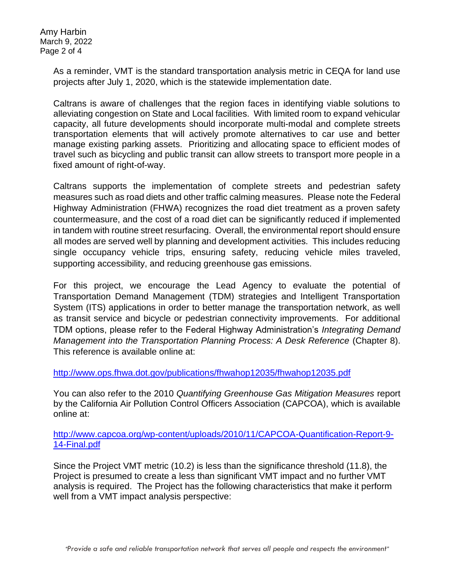Amy Harbin March 9, 2022 Page 2 of 4

> As a reminder, VMT is the standard transportation analysis metric in CEQA for land use projects after July 1, 2020, which is the statewide implementation date.

> Caltrans is aware of challenges that the region faces in identifying viable solutions to alleviating congestion on State and Local facilities. With limited room to expand vehicular capacity, all future developments should incorporate multi-modal and complete streets transportation elements that will actively promote alternatives to car use and better manage existing parking assets. Prioritizing and allocating space to efficient modes of travel such as bicycling and public transit can allow streets to transport more people in a fixed amount of right-of-way.

> Caltrans supports the implementation of complete streets and pedestrian safety measures such as road diets and other traffic calming measures. Please note the Federal Highway Administration (FHWA) recognizes the road diet treatment as a proven safety countermeasure, and the cost of a road diet can be significantly reduced if implemented in tandem with routine street resurfacing. Overall, the environmental report should ensure all modes are served well by planning and development activities. This includes reducing single occupancy vehicle trips, ensuring safety, reducing vehicle miles traveled, supporting accessibility, and reducing greenhouse gas emissions.

> For this project, we encourage the Lead Agency to evaluate the potential of Transportation Demand Management (TDM) strategies and Intelligent Transportation System (ITS) applications in order to better manage the transportation network, as well as transit service and bicycle or pedestrian connectivity improvements. For additional TDM options, please refer to the Federal Highway Administration's *Integrating Demand Management into the Transportation Planning Process: A Desk Reference (Chapter 8).* This reference is available online at:

<http://www.ops.fhwa.dot.gov/publications/fhwahop12035/fhwahop12035.pdf>

You can also refer to the 2010 *Quantifying Greenhouse Gas Mitigation Measures* report by the California Air Pollution Control Officers Association (CAPCOA), which is available online at:

[http://www.capcoa.org/wp-content/uploads/2010/11/CAPCOA-Quantification-Report-9-](http://www.capcoa.org/wp-content/uploads/2010/11/CAPCOA-Quantification-Report-9-14-Final.pdf) [14-Final.pdf](http://www.capcoa.org/wp-content/uploads/2010/11/CAPCOA-Quantification-Report-9-14-Final.pdf)

Since the Project VMT metric (10.2) is less than the significance threshold (11.8), the Project is presumed to create a less than significant VMT impact and no further VMT analysis is required. The Project has the following characteristics that make it perform well from a VMT impact analysis perspective: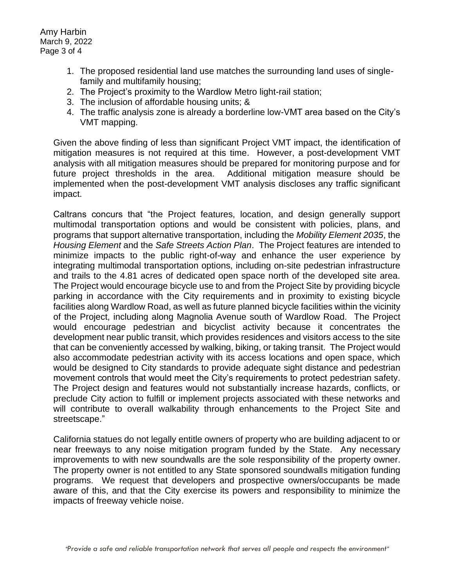- 1. The proposed residential land use matches the surrounding land uses of singlefamily and multifamily housing;
- 2. The Project's proximity to the Wardlow Metro light-rail station;
- 3. The inclusion of affordable housing units; &
- 4. The traffic analysis zone is already a borderline low-VMT area based on the City's VMT mapping.

Given the above finding of less than significant Project VMT impact, the identification of mitigation measures is not required at this time. However, a post-development VMT analysis with all mitigation measures should be prepared for monitoring purpose and for future project thresholds in the area. Additional mitigation measure should be implemented when the post-development VMT analysis discloses any traffic significant impact.

Caltrans concurs that "the Project features, location, and design generally support multimodal transportation options and would be consistent with policies, plans, and programs that support alternative transportation, including the *Mobility Element 2035*, the *Housing Element* and the *Safe Streets Action Plan*. The Project features are intended to minimize impacts to the public right-of-way and enhance the user experience by integrating multimodal transportation options, including on-site pedestrian infrastructure and trails to the 4.81 acres of dedicated open space north of the developed site area. The Project would encourage bicycle use to and from the Project Site by providing bicycle parking in accordance with the City requirements and in proximity to existing bicycle facilities along Wardlow Road, as well as future planned bicycle facilities within the vicinity of the Project, including along Magnolia Avenue south of Wardlow Road. The Project would encourage pedestrian and bicyclist activity because it concentrates the development near public transit, which provides residences and visitors access to the site that can be conveniently accessed by walking, biking, or taking transit. The Project would also accommodate pedestrian activity with its access locations and open space, which would be designed to City standards to provide adequate sight distance and pedestrian movement controls that would meet the City's requirements to protect pedestrian safety. The Project design and features would not substantially increase hazards, conflicts, or preclude City action to fulfill or implement projects associated with these networks and will contribute to overall walkability through enhancements to the Project Site and streetscape."

California statues do not legally entitle owners of property who are building adjacent to or near freeways to any noise mitigation program funded by the State. Any necessary improvements to with new soundwalls are the sole responsibility of the property owner. The property owner is not entitled to any State sponsored soundwalls mitigation funding programs. We request that developers and prospective owners/occupants be made aware of this, and that the City exercise its powers and responsibility to minimize the impacts of freeway vehicle noise.